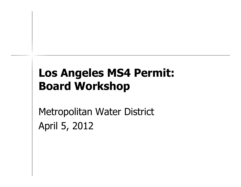## Los Angeles MS4 Permit: Board Workshop

Metropolitan Water DistrictApril 5, 2012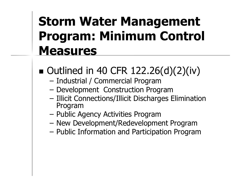# Storm Water Management Program: Minimum Control Measures

- $\blacksquare$  Outlined in 40 CFR 122.26(d)(2)(iv)
	- Industrial / Commercial Program
	- –Development Construction Program
	- Illicit Connections/Illicit Discharges Elimination Program
	- –Public Agency Activities Program
	- –New Development/Redevelopment Program<br>Public Information and Particination Program
	- Public Information and Participation Program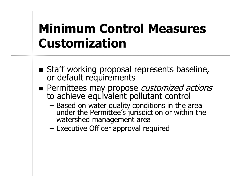# Minimum Control Measures Customization

- Staff working proposal represents baseline, or default requirements
- **Permittees may propose** *customized actions* to achieve equivalent pollutant control
	- Based on water quality conditions in the area Based on water quality conditions in the area<br>under the Permittee's jurisdiction or within the under the Permittee's jurisdiction or within the<br>watershed management area<br>Executive Officer annroval required
	- –Executive Officer approval required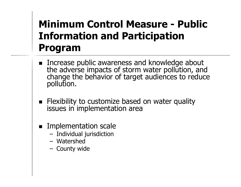### Minimum Control Measure - Public Information and Participation Program

- $\blacksquare$  Increase the adverse impacts of storm water pollution, and change the behavior of target audiences to reduce pollution.
- **Flexibility to customize based on water quality** issues in implementation area
- **Implementation scale** 
	- Individual Iuricdictior Individual jurisdiction
	- Watershed<br>County wic
	- County wide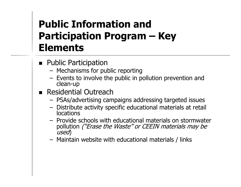## Public Information and Participation Program – Key **Elements**

- **Public Participation** 
	- Machanicme tor n Mechanisms for public reporting<br>Events to involve the public in p
	- Events to involve the public in pollution prevention and clean-up
- **Residential Outreach** 
	- USAC/201/Articina c21 PSAs/advertising campaigns addressing targeted issues
	- Distribute activity specific educational materials at retail locations
	- Provide schools with educational materials on stormwater<br>pollution *("Erase the Waste" or CEEIN materials may be* pollution *("Erase the Waste" or CEEIN materials may be*<br>*used*)
	- Maintain website with educational materials / link s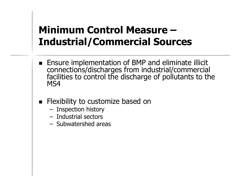#### Minimum Control Measure –Industrial/Commercial Sources

- **Ensure implementation of BMP and eliminate illicit** connection s/discharges from industrial/commercial facilities to control the discharge of pollutants to the MS4
- **Flexibility to customize based on** 
	- **Inspection history**<br>Industrial sectors
	- **Industrial sectors**<br>Subwatershed are
	- Subwatershed areas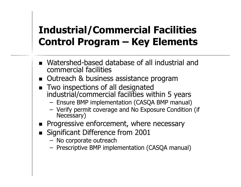### Industrial/Commercial Facilities Control Program – Key Elements

- Watershed-based database of all industrial and commercial facilities
- Outreach & business assistance program
- Two inspections of all designated industrial/commercial facilities within 5 years
	- Encure RMD implementation (CASOA RMD manua Ensure BMP implementation (CASQA BMP manual)
	- Verify permit coverage and No Exposure Condition (if Necessary)
- **Progressive enforcement, where necessary**
- Significant Difference from 2001
	- No corporate outreach<br>Prescriptive RMP imple
	- Prescriptive BMP implementation (CASQA manual)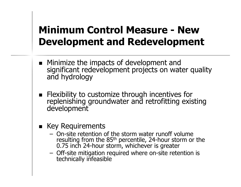### Minimum Control Measure - New Development and Redevelopment

- Minimize the impacts of development and significant redevelopment projects on water quality and hydrology
- Flexibility to customize through incentives for replenishing groundwater and retrofitting existing development
- **EXEGE Requirements** 
	- On-site retention of the storm water runoff volume On-site retention of the storm water runoff volume<br>resulting from the 85<sup>th</sup> percentile, 24-hour storm on resulting from the 85<sup>th</sup> percentile, 24-hour storm or the<br>0.75 inch 24-hour storm, whichever is greater
	- Off-site mitigation required where on-site retention is technically infeasible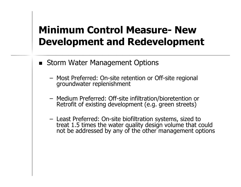#### Minimum Control Measure- New Development and Redevelopment

- **E** Storm Water Management Options
	- Most Preferred: On-site retention or Off-site regional groundwater replenishment
	- Medium Preferred: Off-site infiltration/bioretention or Medium Preferred: Off-site infiltration/bioretention or Retrofit of existing development (e.g. green streets)
	- Least Preferred: On-site biofiltration systems, sized to treat 1.5 times the water quality design volume that could not be addressed by any of the other management options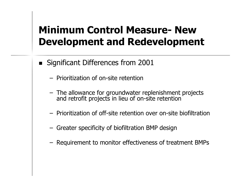#### Minimum Control Measure- New Development and Redevelopment

- $\blacksquare$  Significant Differences from 2001
	- Prioritization of on-site retention
	- The allowance for groundwater replenishment projects and retrofit projects in lieu of on-site retention
	- Prioritization of off-site retention over on-site biofiltration
	- Greater specificity of biofiltration BMP design
	- Requirement to monitor effectiveness of treatment BMPs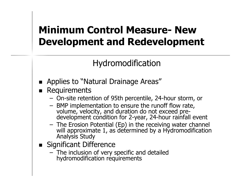#### Minimum Control Measure- New Development and Redevelopment

#### Hydromodification

- **Applies to "Natural Drainage Areas"**
- **Requirements** 
	- On-site retention of 95th percentile, 24-hour storm, or<br>RMP implementation to ensure the rupoff flow rate
	- BMP implementation to ensure the runoff flow rate, BMP implementation to ensure the runoff flow rate, volume, velocity, and duration do not exceed predevelopment condition for 2-year, 24-hour rainfall event
	- The Erosion Potential (Ep) in the receiving water channel will approximate 1, as determined by a HydromodificationAnalysis Study
- Significant Difference
	- $-$  The inclucion of very The inclusion of very specific and detailed hydromodification requirements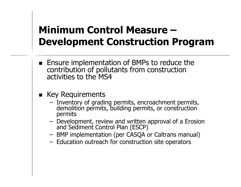#### Minimum Control Measure –Development Construction Program

- **Ensure implementation of BMPs to reduce the** contribution of pollutants from construction activities to the MS4
- Key Requirements
	- Inventory of grading permits, encroachment permits, demolition permits, building permits, or construction permits
	- Davelo Development, review and written approval of a Erosion and Sediment Control Plan (ESCP)
	- BMP implementation (per CASQA or Caltrans manual)<br>Education outreach for construction site operators
	- Education outreach for construction site operators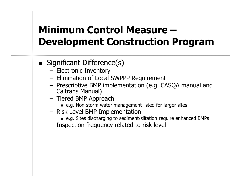### Minimum Control Measure –Development Construction Program

- Significant Difference(s)
	- Electronic Inventory<br>Elimination of Local
	- Elimination of Local SWPPP Requirement<br>Prescriptive RMP implementation (e.g. CL
	- Prescriptive BMP implementation (e.g. CASQA manual and Caltrans Manual)
	- Tiered BMP Approach<br>e.g. Non-storm water
		- e.g. Non-storm water management listed for larger sites
	- Risk Level BMP Implementation<br>⊌ e.g. Sites discharging to sediment
		- e.g. Sites discharging to sediment/siltation require enhanced BMPs
	- Inspection frequency related to risk level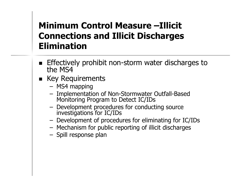#### Minimum Control Measure –Illicit Connections and Illicit Discharges Elimination

- Effectively prohibit non-storm water discharges to the MS4
- **EXEGE Requirements** 
	- MS4 mapping
	- Implementation of Non-Stormwater Outfall-Based Monitoring Program to Detect IC/IDs
	- Development procedures for conduc Development procedures for conducting source investigations for IC/IDs
	- Davalonmant of procad Development of procedures for eliminating for IC/IDs
	- Mechanism for public reporting of illicit discharges
	- Spill response plan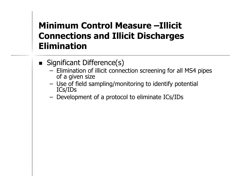#### Minimum Control Measure –Illicit Connections and Illicit Discharges Elimination

- Significant Difference(s)
	- Elimination of illicit connection screening for all MS4 pipes of a given size
	- I Ica of fiald c: Use of field sampling/monitoring to identify potential ICs/IDs
	- Davelo Development of a protocol to eliminate ICs/IDs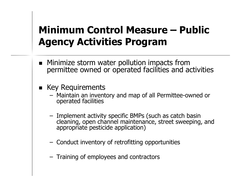#### Minimum Control Measure – Public Agency Activities Program

- Minimize storm water pollution impacts from permittee owned or operated facilities and activities
- Key Requirements
	- Maintain an inventory and map of all Permittee-owned or operated facilities
	- Implement activity specific BMPs (such as catch basin Improment activity, specific BMPs (such as catch basin cleaning, open channel maintenance, street sweeping, and appropriate pesticide application)
	- Conduct inventory of retrofitting opportunities
	- Training of employees and contractors